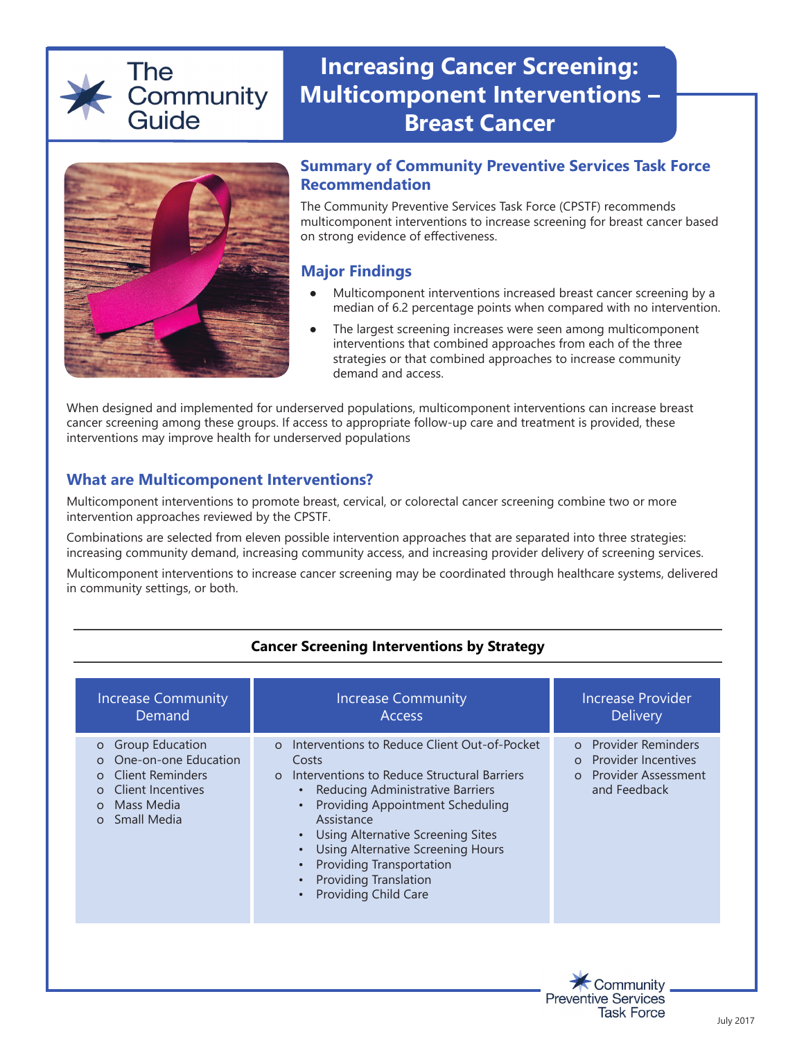## The Community Guide

# **Increasing Cancer Screening: Multicomponent Interventions – Breast Cancer**



#### **Summary of Community Preventive Services Task Force Recommendation**

The Community Preventive Services Task Force (CPSTF) recommends multicomponent interventions to increase screening for breast cancer based on strong evidence of effectiveness.

## **Major Findings**

- Multicomponent interventions increased breast cancer screening by a median of 6.2 percentage points when compared with no intervention.
- The largest screening increases were seen among multicomponent interventions that combined approaches from each of the three strategies or that combined approaches to increase community demand and access.

When designed and implemented for underserved populations, multicomponent interventions can increase breast cancer screening among these groups. If access to appropriate follow-up care and treatment is provided, these interventions may improve health for underserved populations

## **What are Multicomponent Interventions?**

Multicomponent interventions to promote breast, cervical, or colorectal cancer screening combine two or more intervention approaches reviewed by the CPSTF.

Combinations are selected from eleven possible intervention approaches that are separated into three strategies: increasing community demand, increasing community access, and increasing provider delivery of screening services.

Multicomponent interventions to increase cancer screening may be coordinated through healthcare systems, delivered in community settings, or both.

#### **Cancer Screening Interventions by Strategy**

| <b>Increase Community</b><br>Demand                                                                                                                                                          | <b>Increase Community</b><br><b>Access</b>                                                                                                                                                                                                                                                                                                                                                            | <b>Increase Provider</b><br><b>Delivery</b>                                                                                               |
|----------------------------------------------------------------------------------------------------------------------------------------------------------------------------------------------|-------------------------------------------------------------------------------------------------------------------------------------------------------------------------------------------------------------------------------------------------------------------------------------------------------------------------------------------------------------------------------------------------------|-------------------------------------------------------------------------------------------------------------------------------------------|
| <b>Group Education</b><br>$\circ$<br>One-on-one Education<br><b>Client Reminders</b><br>$\circ$<br><b>Client Incentives</b><br>$\Omega$<br>Mass Media<br>$\Omega$<br>Small Media<br>$\Omega$ | Interventions to Reduce Client Out-of-Pocket<br>$\Omega$<br>Costs<br>Interventions to Reduce Structural Barriers<br>$\Omega$<br>Reducing Administrative Barriers<br>Providing Appointment Scheduling<br>Assistance<br><b>Using Alternative Screening Sites</b><br><b>Using Alternative Screening Hours</b><br>Providing Transportation<br><b>Providing Translation</b><br><b>Providing Child Care</b> | <b>Provider Reminders</b><br>$\Omega$<br><b>Provider Incentives</b><br>$\Omega$<br><b>Provider Assessment</b><br>$\Omega$<br>and Feedback |
|                                                                                                                                                                                              |                                                                                                                                                                                                                                                                                                                                                                                                       |                                                                                                                                           |

**Preventive Services** 

**Task Force**